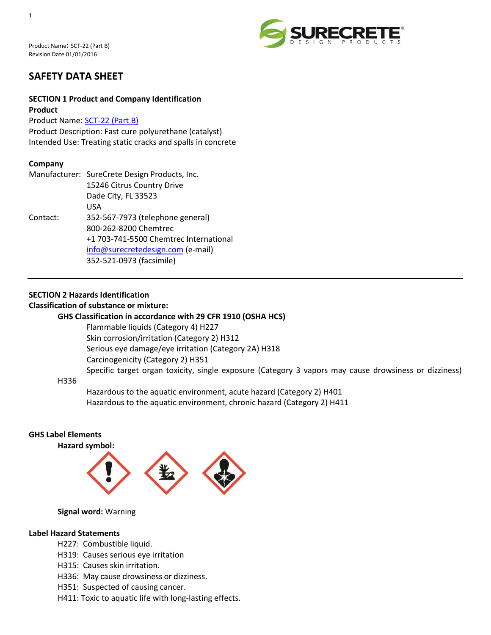Product Name: SCT-22 (Part B) Revision Date 01/01/2016



# **SAFETY DATA SHEET**

### **SECTION 1 Product and Company Identification Product**

Product Name: [SCT-22 \(Part B\)](http://www.surecretedesign.com/sct-22/)

Product Description: Fast cure polyurethane (catalyst) Intended Use: Treating static cracks and spalls in concrete

### **Company**

|          | Manufacturer: SureCrete Design Products, Inc. |
|----------|-----------------------------------------------|
|          | 15246 Citrus Country Drive                    |
|          | Dade City, FL 33523                           |
|          | USA                                           |
| Contact: | 352-567-7973 (telephone general)              |
|          | 800-262-8200 Chemtrec                         |
|          | +1 703-741-5500 Chemtrec International        |
|          | info@surecretedesign.com (e-mail)             |
|          | 352-521-0973 (facsimile)                      |

# **SECTION 2 Hazards Identification**

### **Classification of substance or mixture:**

#### **GHS Classification in accordance with 29 CFR 1910 (OSHA HCS)**

Flammable liquids (Category 4) H227 Skin corrosion/irritation (Category 2) H312 Serious eye damage/eye irritation (Category 2A) H318 Carcinogenicity (Category 2) H351 Specific target organ toxicity, single exposure (Category 3 vapors may cause drowsiness or dizziness)

#### H336

Hazardous to the aquatic environment, acute hazard (Category 2) H401 Hazardous to the aquatic environment, chronic hazard (Category 2) H411

#### **GHS Label Elements Hazard symbol:**



### **Signal word:** Warning

### **Label Hazard Statements**

- H227: Combustible liquid.
- H319: Causes serious eye irritation
- H315: Causes skin irritation.
- H336: May cause drowsiness or dizziness.
- H351: Suspected of causing cancer.
- H411: Toxic to aquatic life with long-lasting effects.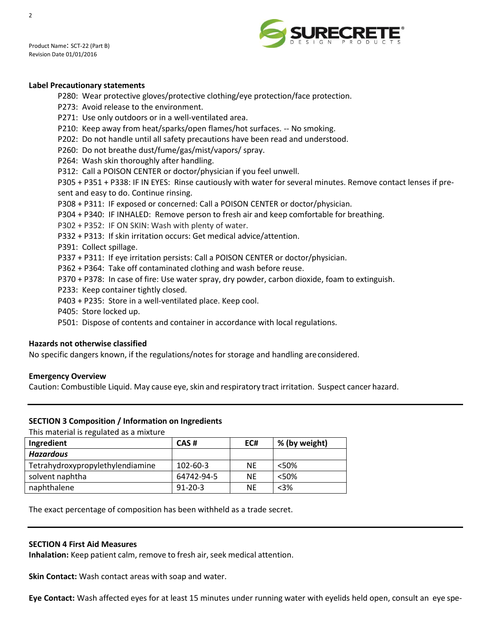



#### **Label Precautionary statements**

P280: Wear protective gloves/protective clothing/eye protection/face protection.

- P273: Avoid release to the environment.
- P271: Use only outdoors or in a well-ventilated area.
- P210: Keep away from heat/sparks/open flames/hot surfaces. -- No smoking.
- P202: Do not handle until all safety precautions have been read and understood.
- P260: Do not breathe dust/fume/gas/mist/vapors/ spray.
- P264: Wash skin thoroughly after handling.
- P312: Call a POISON CENTER or doctor/physician if you feel unwell.

P305 + P351 + P338: IF IN EYES: Rinse cautiously with water for several minutes. Remove contact lenses if present and easy to do. Continue rinsing.

- P308 + P311: IF exposed or concerned: Call a POISON CENTER or doctor/physician.
- P304 + P340: IF INHALED: Remove person to fresh air and keep comfortable for breathing.
- P302 + P352: IF ON SKIN: Wash with plenty of water.
- P332 + P313: If skin irritation occurs: Get medical advice/attention.
- P391: Collect spillage.
- P337 + P311: If eye irritation persists: Call a POISON CENTER or doctor/physician.
- P362 + P364: Take off contaminated clothing and wash before reuse.
- P370 + P378: In case of fire: Use water spray, dry powder, carbon dioxide, foam to extinguish.
- P233: Keep container tightly closed.
- P403 + P235: Store in a well-ventilated place. Keep cool.
- P405: Store locked up.
- P501: Dispose of contents and container in accordance with local regulations.

#### **Hazards not otherwise classified**

No specific dangers known, if the regulations/notes for storage and handling areconsidered.

#### **Emergency Overview**

Caution: Combustible Liquid. May cause eye, skin and respiratory tract irritation. Suspect cancer hazard.

#### **SECTION 3 Composition / Information on Ingredients**

This material is regulated as a mixture

| Ingredient                       | CAS#           | EC#       | % (by weight) |
|----------------------------------|----------------|-----------|---------------|
| <b>Hazardous</b>                 |                |           |               |
| Tetrahydroxypropylethylendiamine | $102 - 60 - 3$ | <b>NE</b> | < 50%         |
| solvent naphtha                  | 64742-94-5     | NF        | < 50%         |
| naphthalene                      | $91 - 20 - 3$  | NF        | $<3\%$        |

The exact percentage of composition has been withheld as a trade secret.

#### **SECTION 4 First Aid Measures**

**Inhalation:** Keep patient calm, remove to fresh air, seek medical attention.

**Skin Contact:** Wash contact areas with soap and water.

**Eye Contact:** Wash affected eyes for at least 15 minutes under running water with eyelids held open, consult an eye spe-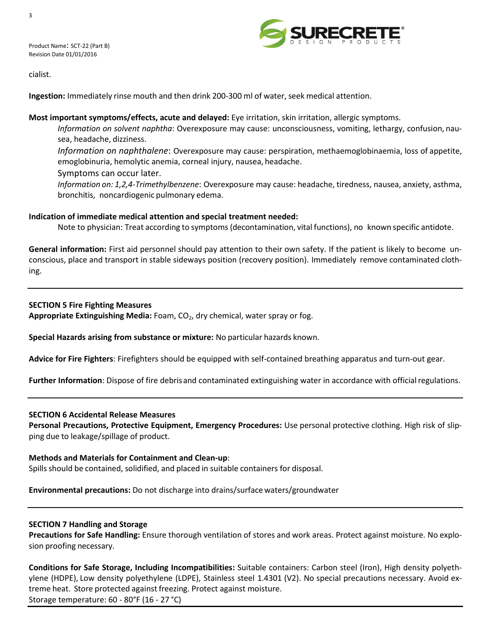



cialist.

**Ingestion:** Immediately rinse mouth and then drink 200-300 ml of water, seek medical attention.

### **Most important symptoms/effects, acute and delayed:** Eye irritation, skin irritation, allergic symptoms.

*Information on solvent naphtha*: Overexposure may cause: unconsciousness, vomiting, lethargy, confusion, nausea, headache, dizziness.

*Information on naphthalene*: Overexposure may cause: perspiration, methaemoglobinaemia, loss of appetite, emoglobinuria, hemolytic anemia, corneal injury, nausea, headache.

Symptoms can occur later.

*Information on: 1,2,4-Trimethylbenzene*: Overexposure may cause: headache, tiredness, nausea, anxiety, asthma, bronchitis, noncardiogenic pulmonary edema.

# **Indication of immediate medical attention and special treatment needed:**

Note to physician: Treat according to symptoms(decontamination, vital functions), no known specific antidote.

**General information:** First aid personnel should pay attention to their own safety. If the patient is likely to become unconscious, place and transport in stable sideways position (recovery position). Immediately remove contaminated clothing.

# **SECTION 5 Fire Fighting Measures**

Appropriate Extinguishing Media: Foam, CO<sub>2</sub>, dry chemical, water spray or fog.

**Special Hazards arising from substance or mixture:** No particular hazards known.

**Advice for Fire Fighters**: Firefighters should be equipped with self-contained breathing apparatus and turn-out gear.

**Further Information**: Dispose of fire debris and contaminated extinguishing water in accordance with official regulations.

### **SECTION 6 Accidental Release Measures**

**Personal Precautions, Protective Equipment, Emergency Procedures:** Use personal protective clothing. High risk of slipping due to leakage/spillage of product.

### **Methods and Materials for Containment and Clean-up**:

Spillsshould be contained, solidified, and placed in suitable containers for disposal.

**Environmental precautions:** Do not discharge into drains/surfacewaters/groundwater

### **SECTION 7 Handling and Storage**

**Precautions for Safe Handling:** Ensure thorough ventilation of stores and work areas. Protect against moisture. No explosion proofing necessary.

**Conditions for Safe Storage, Including Incompatibilities:** Suitable containers: Carbon steel (Iron), High density polyethylene (HDPE), Low density polyethylene (LDPE), Stainless steel 1.4301 (V2). No special precautions necessary. Avoid extreme heat. Store protected against freezing. Protect against moisture. Storage temperature: 60 - 80°F (16 - 27 °C)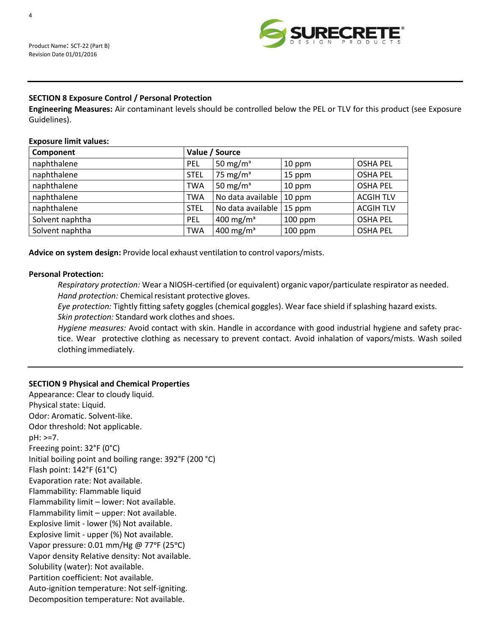

### **SECTION 8 Exposure Control / Personal Protection**

**Engineering Measures:** Air contaminant levels should be controlled below the PEL or TLV for this product (see Exposure Guidelines).

#### **Exposure limit values:**

| Component       |             | Value / Source        |           |                  |
|-----------------|-------------|-----------------------|-----------|------------------|
| naphthalene     | PEL         | 50 mg/m <sup>3</sup>  | 10 ppm    | <b>OSHA PEL</b>  |
| naphthalene     | <b>STEL</b> | 75 mg/ $m3$           | 15 ppm    | <b>OSHA PEL</b>  |
| naphthalene     | <b>TWA</b>  | 50 mg/m <sup>3</sup>  | 10 ppm    | <b>OSHA PEL</b>  |
| naphthalene     | <b>TWA</b>  | No data available     | 10 ppm    | <b>ACGIH TLV</b> |
| naphthalene     | <b>STEL</b> | No data available     | 15 ppm    | <b>ACGIH TLV</b> |
| Solvent naphtha | PEL         | 400 mg/m <sup>3</sup> | $100$ ppm | <b>OSHA PEL</b>  |
| Solvent naphtha | <b>TWA</b>  | 400 mg/m <sup>3</sup> | $100$ ppm | <b>OSHA PEL</b>  |

**Advice on system design:** Provide local exhaust ventilation to control vapors/mists.

#### **Personal Protection:**

*Respiratory protection:* Wear a NIOSH-certified (or equivalent) organic vapor/particulate respirator as needed. Hand protection: Chemical resistant protective gloves.

*Eye protection:* Tightly fitting safety goggles (chemical goggles). Wear face shield if splashing hazard exists. *Skin protection:* Standard work clothes and shoes.

*Hygiene measures:* Avoid contact with skin. Handle in accordance with good industrial hygiene and safety practice. Wear protective clothing as necessary to prevent contact. Avoid inhalation of vapors/mists. Wash soiled clothing immediately.

### **SECTION 9 Physical and Chemical Properties**

Appearance: Clear to cloudy liquid. Physical state: Liquid. Odor: Aromatic. Solvent-like. Odor threshold: Not applicable. pH: >=7. Freezing point: 32°F (0°C) Initial boiling point and boiling range: 392°F (200 °C) Flash point: 142°F (61°C) Evaporation rate: Not available. Flammability: Flammable liquid Flammability limit – lower: Not available. Flammability limit – upper: Not available. Explosive limit - lower (%) Not available. Explosive limit - upper (%) Not available. Vapor pressure: 0.01 mm/Hg @ 77°F (25°C) Vapor density Relative density: Not available. Solubility (water): Not available. Partition coefficient: Not available. Auto-ignition temperature: Not self-igniting. Decomposition temperature: Not available.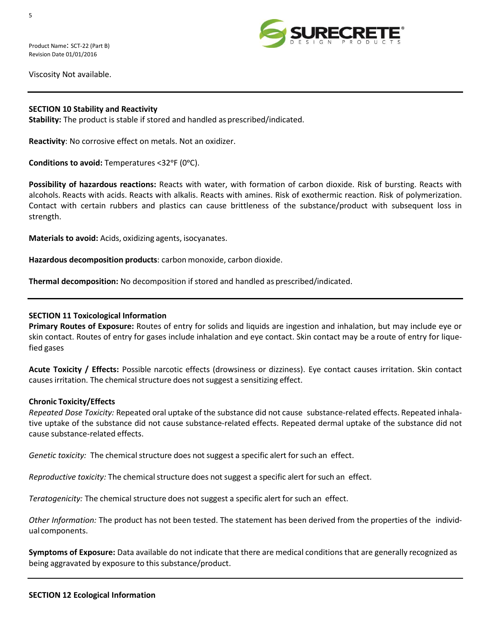

Viscosity Not available.

### **SECTION 10 Stability and Reactivity**

**Stability:** The product is stable if stored and handled as prescribed/indicated.

**Reactivity**: No corrosive effect on metals. Not an oxidizer.

**Conditions to avoid:** Temperatures <32ᵒF (0ᵒC).

**Possibility of hazardous reactions:** Reacts with water, with formation of carbon dioxide. Risk of bursting. Reacts with alcohols. Reacts with acids. Reacts with alkalis. Reacts with amines. Risk of exothermic reaction. Risk of polymerization. Contact with certain rubbers and plastics can cause brittleness of the substance/product with subsequent loss in strength.

**Materials to avoid:** Acids, oxidizing agents, isocyanates.

**Hazardous decomposition products**: carbon monoxide, carbon dioxide.

**Thermal decomposition:** No decomposition if stored and handled as prescribed/indicated.

### **SECTION 11 Toxicological Information**

**Primary Routes of Exposure:** Routes of entry for solids and liquids are ingestion and inhalation, but may include eye or skin contact. Routes of entry for gases include inhalation and eye contact. Skin contact may be a route of entry for liquefied gases

**Acute Toxicity / Effects:** Possible narcotic effects (drowsiness or dizziness). Eye contact causes irritation. Skin contact causes irritation. The chemical structure does not suggest a sensitizing effect.

### **Chronic Toxicity/Effects**

*Repeated Dose Toxicity:* Repeated oral uptake of the substance did not cause substance-related effects. Repeated inhalative uptake of the substance did not cause substance-related effects. Repeated dermal uptake of the substance did not cause substance-related effects.

*Genetic toxicity:* The chemical structure does not suggest a specific alert for such an effect.

*Reproductive toxicity:* The chemical structure does not suggest a specific alert for such an effect.

Teratogenicity: The chemical structure does not suggest a specific alert for such an effect.

*Other Information:* The product has not been tested. The statement has been derived from the properties of the individual components.

**Symptoms of Exposure:** Data available do not indicate that there are medical conditions that are generally recognized as being aggravated by exposure to this substance/product.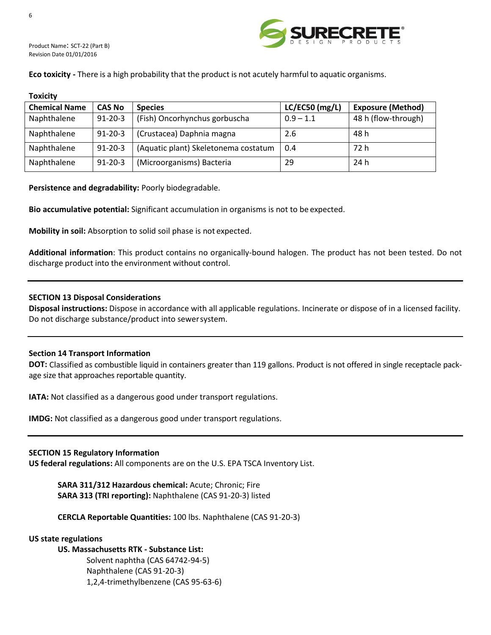

Product Name: SCT-22 (Part B) Revision Date 01/01/2016

**Eco toxicity -** There is a high probability that the product is not acutely harmful to aquatic organisms.

#### **Toxicity**

| <b>Chemical Name</b> | <b>CAS No</b> | <b>Species</b>                       | LC/EC50 (mg/L) | <b>Exposure (Method)</b> |
|----------------------|---------------|--------------------------------------|----------------|--------------------------|
| Naphthalene          | $91 - 20 - 3$ | (Fish) Oncorhynchus gorbuscha        | $0.9 - 1.1$    | 48 h (flow-through)      |
| Naphthalene          | $91 - 20 - 3$ | (Crustacea) Daphnia magna            | 2.6            | 48 h                     |
| Naphthalene          | $91 - 20 - 3$ | (Aquatic plant) Skeletonema costatum | 0.4            | 72 h                     |
| Naphthalene          | $91 - 20 - 3$ | (Microorganisms) Bacteria            | 29             | 24 h                     |

**Persistence and degradability:** Poorly biodegradable.

**Bio accumulative potential:** Significant accumulation in organisms is not to be expected.

**Mobility in soil:** Absorption to solid soil phase is not expected.

**Additional information**: This product contains no organically-bound halogen. The product has not been tested. Do not discharge product into the environment without control.

#### **SECTION 13 Disposal Considerations**

**Disposal instructions:** Dispose in accordance with all applicable regulations. Incinerate or dispose of in a licensed facility. Do not discharge substance/product into sewersystem.

#### **Section 14 Transport Information**

**DOT:** Classified as combustible liquid in containers greater than 119 gallons. Product is not offered in single receptacle package size that approaches reportable quantity.

**IATA:** Not classified as a dangerous good under transport regulations.

**IMDG:** Not classified as a dangerous good under transport regulations.

#### **SECTION 15 Regulatory Information**

**US federal regulations:** All components are on the U.S. EPA TSCA Inventory List.

**SARA 311/312 Hazardous chemical:** Acute; Chronic; Fire **SARA 313 (TRI reporting):** Naphthalene (CAS 91-20-3) listed

**CERCLA Reportable Quantities:** 100 lbs. Naphthalene (CAS 91-20-3)

#### **US state regulations**

# **US. Massachusetts RTK - Substance List:**

Solvent naphtha (CAS 64742-94-5) Naphthalene (CAS 91-20-3) 1,2,4-trimethylbenzene (CAS 95-63-6)